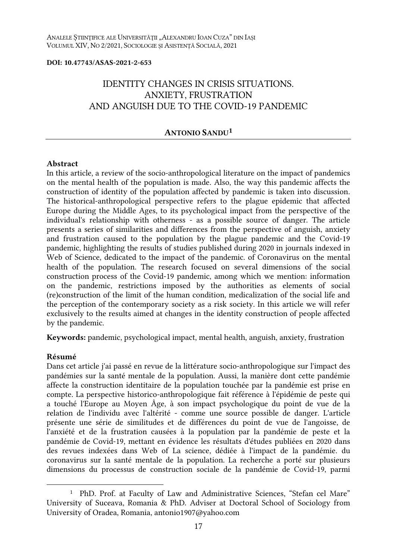#### **DOI: 10.47743/ASAS-2021-2-653**

# IDENTITY CHANGES IN CRISIS SITUATIONS. ANXIETY, FRUSTRATION AND ANGUISH DUE TO THE COVID-19 PANDEMIC

#### **ANTONIO SANDU<sup>1</sup>**

#### **Abstract**

In this article, a review of the socio-anthropological literature on the impact of pandemics on the mental health of the population is made. Also, the way this pandemic affects the construction of identity of the population affected by pandemic is taken into discussion. The historical-anthropological perspective refers to the plague epidemic that affected Europe during the Middle Ages, to its psychological impact from the perspective of the individual's relationship with otherness - as a possible source of danger. The article presents a series of similarities and differences from the perspective of anguish, anxiety and frustration caused to the population by the plague pandemic and the Covid-19 pandemic, highlighting the results of studies published during 2020 in journals indexed in Web of Science, dedicated to the impact of the pandemic. of Coronavirus on the mental health of the population. The research focused on several dimensions of the social construction process of the Covid-19 pandemic, among which we mention: information on the pandemic, restrictions imposed by the authorities as elements of social (re)construction of the limit of the human condition, medicalization of the social life and the perception of the contemporary society as a risk society. In this article we will refer exclusively to the results aimed at changes in the identity construction of people affected by the pandemic.

**Keywords:** pandemic, psychological impact, mental health, anguish, anxiety, frustration

#### **Résumé**

Dans cet article j'ai passé en revue de la littérature socio-anthropologique sur l'impact des pandémies sur la santé mentale de la population. Aussi, la manière dont cette pandémie affecte la construction identitaire de la population touchée par la pandémie est prise en compte. La perspective historico-anthropologique fait référence à l'épidémie de peste qui a touché l'Europe au Moyen Âge, à son impact psychologique du point de vue de la relation de l'individu avec l'altérité - comme une source possible de danger. L'article présente une série de similitudes et de différences du point de vue de l'angoisse, de l'anxiété et de la frustration causées à la population par la pandémie de peste et la pandémie de Covid-19, mettant en évidence les résultats d'études publiées en 2020 dans des revues indexées dans Web of La science, dédiée à l'impact de la pandémie. du coronavirus sur la santé mentale de la population. La recherche a porté sur plusieurs dimensions du processus de construction sociale de la pandémie de Covid-19, parmi

<sup>&</sup>lt;sup>1</sup> PhD. Prof. at Faculty of Law and Administrative Sciences, "Stefan cel Mare" University of Suceava, Romania & PhD. Adviser at Doctoral School of Sociology from University of Oradea, Romania, antonio1907@yahoo.com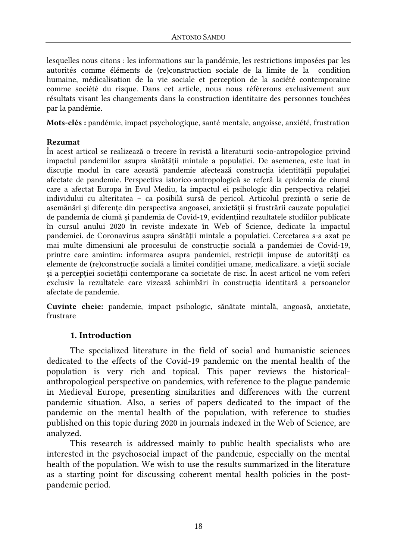lesquelles nous citons : les informations sur la pandémie, les restrictions imposées par les autorités comme éléments de (re)construction sociale de la limite de la condition humaine, médicalisation de la vie sociale et perception de la société contemporaine comme société du risque. Dans cet article, nous nous référerons exclusivement aux résultats visant les changements dans la construction identitaire des personnes touchées par la pandémie.

**Mots-clés :** pandémie, impact psychologique, santé mentale, angoisse, anxiété, frustration

### **Rezumat**

În acest articol se realizează o trecere în revistă a literaturii socio-antropologice privind impactul pandemiilor asupra sănătății mintale a populației. De asemenea, este luat în discutie modul în care această pandemie afectează constructia identității populației afectate de pandemie. Perspectiva istorico-antropologică se referă la epidemia de ciumă care a afectat Europa în Evul Mediu, la impactul ei psihologic din perspectiva relaţiei individului cu alteritatea – ca posibilă sursă de pericol. Articolul prezintă o serie de asemănări și diferenţe din perspectiva angoasei, anxietăţii și frustrării cauzate populaţiei de pandemia de ciumă și pandemia de Covid-19, evidențiind rezultatele studiilor publicate în cursul anului 2020 în reviste indexate în Web of Science, dedicate la impactul pandemiei. de Coronavirus asupra sănătății mintale a populației. Cercetarea s-a axat pe mai multe dimensiuni ale procesului de construcție socială a pandemiei de Covid-19, printre care amintim: informarea asupra pandemiei, restricții impuse de autorități ca elemente de (re)constructie socială a limitei conditiei umane, medicalizare, a vietii sociale si a perceptiei societății contemporane ca societate de risc. În acest articol ne vom referi exclusiv la rezultatele care vizează schimbări în construcţia identitară a persoanelor afectate de pandemie.

**Cuvinte cheie:** pandemie, impact psihologic, sănătate mintală, angoasă, anxietate, frustrare

### **1. Introduction**

The specialized literature in the field of social and humanistic sciences dedicated to the effects of the Covid-19 pandemic on the mental health of the population is very rich and topical. This paper reviews the historicalanthropological perspective on pandemics, with reference to the plague pandemic in Medieval Europe, presenting similarities and differences with the current pandemic situation. Also, a series of papers dedicated to the impact of the pandemic on the mental health of the population, with reference to studies published on this topic during 2020 in journals indexed in the Web of Science, are analyzed.

This research is addressed mainly to public health specialists who are interested in the psychosocial impact of the pandemic, especially on the mental health of the population. We wish to use the results summarized in the literature as a starting point for discussing coherent mental health policies in the postpandemic period.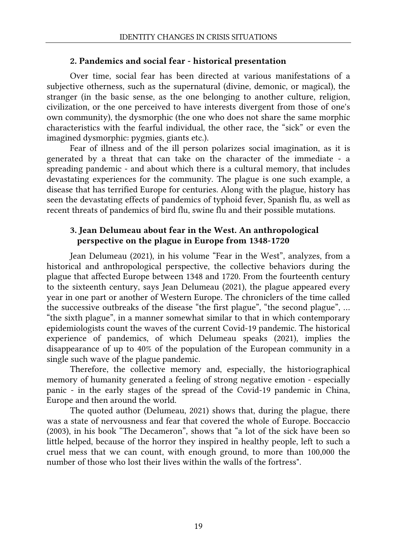### **2. Pandemics and social fear - historical presentation**

Over time, social fear has been directed at various manifestations of a subjective otherness, such as the supernatural (divine, demonic, or magical), the stranger (in the basic sense, as the one belonging to another culture, religion, civilization, or the one perceived to have interests divergent from those of one's own community), the dysmorphic (the one who does not share the same morphic characteristics with the fearful individual, the other race, the "sick" or even the imagined dysmorphic: pygmies, giants etc.).

Fear of illness and of the ill person polarizes social imagination, as it is generated by a threat that can take on the character of the immediate - a spreading pandemic - and about which there is a cultural memory, that includes devastating experiences for the community. The plague is one such example, a disease that has terrified Europe for centuries. Along with the plague, history has seen the devastating effects of pandemics of typhoid fever, Spanish flu, as well as recent threats of pandemics of bird flu, swine flu and their possible mutations.

## **3. Jean Delumeau about fear in the West. An anthropological perspective on the plague in Europe from 1348-1720**

Jean Delumeau (2021), in his volume "Fear in the West", analyzes, from a historical and anthropological perspective, the collective behaviors during the plague that affected Europe between 1348 and 1720. From the fourteenth century to the sixteenth century, says Jean Delumeau (2021), the plague appeared every year in one part or another of Western Europe. The chroniclers of the time called the successive outbreaks of the disease "the first plague", "the second plague", … "the sixth plague", in a manner somewhat similar to that in which contemporary epidemiologists count the waves of the current Covid-19 pandemic. The historical experience of pandemics, of which Delumeau speaks (2021), implies the disappearance of up to 40% of the population of the European community in a single such wave of the plague pandemic.

Therefore, the collective memory and, especially, the historiographical memory of humanity generated a feeling of strong negative emotion - especially panic - in the early stages of the spread of the Covid-19 pandemic in China, Europe and then around the world.

The quoted author (Delumeau, 2021) shows that, during the plague, there was a state of nervousness and fear that covered the whole of Europe. Boccaccio (2003), in his book "The Decameron", shows that "a lot of the sick have been so little helped, because of the horror they inspired in healthy people, left to such a cruel mess that we can count, with enough ground, to more than 100,000 the number of those who lost their lives within the walls of the fortress".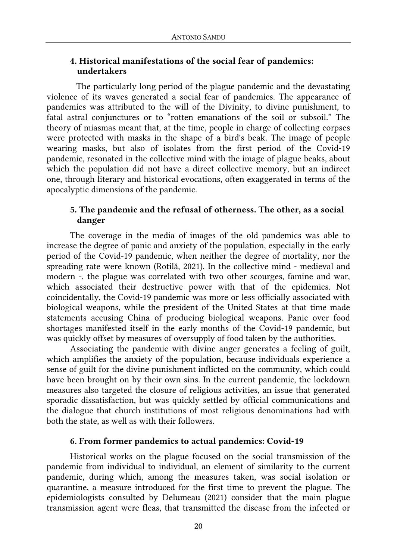### **4. Historical manifestations of the social fear of pandemics: undertakers**

The particularly long period of the plague pandemic and the devastating violence of its waves generated a social fear of pandemics. The appearance of pandemics was attributed to the will of the Divinity, to divine punishment, to fatal astral conjunctures or to "rotten emanations of the soil or subsoil." The theory of miasmas meant that, at the time, people in charge of collecting corpses were protected with masks in the shape of a bird's beak. The image of people wearing masks, but also of isolates from the first period of the Covid-19 pandemic, resonated in the collective mind with the image of plague beaks, about which the population did not have a direct collective memory, but an indirect one, through literary and historical evocations, often exaggerated in terms of the apocalyptic dimensions of the pandemic.

## **5. The pandemic and the refusal of otherness. The other, as a social danger**

The coverage in the media of images of the old pandemics was able to increase the degree of panic and anxiety of the population, especially in the early period of the Covid-19 pandemic, when neither the degree of mortality, nor the spreading rate were known (Rotilă, 2021). In the collective mind - medieval and modern -, the plague was correlated with two other scourges, famine and war, which associated their destructive power with that of the epidemics. Not coincidentally, the Covid-19 pandemic was more or less officially associated with biological weapons, while the president of the United States at that time made statements accusing China of producing biological weapons. Panic over food shortages manifested itself in the early months of the Covid-19 pandemic, but was quickly offset by measures of oversupply of food taken by the authorities.

Associating the pandemic with divine anger generates a feeling of guilt, which amplifies the anxiety of the population, because individuals experience a sense of guilt for the divine punishment inflicted on the community, which could have been brought on by their own sins. In the current pandemic, the lockdown measures also targeted the closure of religious activities, an issue that generated sporadic dissatisfaction, but was quickly settled by official communications and the dialogue that church institutions of most religious denominations had with both the state, as well as with their followers.

#### **6. From former pandemics to actual pandemics: Covid-19**

Historical works on the plague focused on the social transmission of the pandemic from individual to individual, an element of similarity to the current pandemic, during which, among the measures taken, was social isolation or quarantine, a measure introduced for the first time to prevent the plague. The epidemiologists consulted by Delumeau (2021) consider that the main plague transmission agent were fleas, that transmitted the disease from the infected or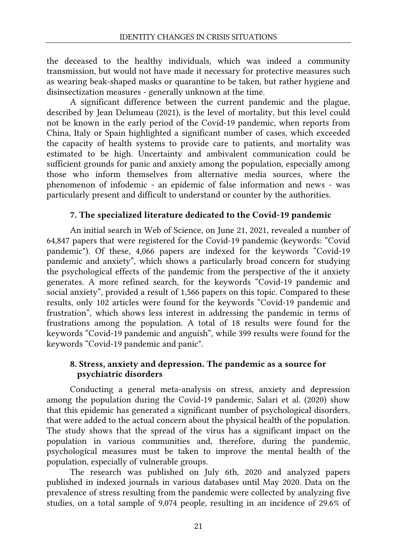the deceased to the healthy individuals, which was indeed a community transmission, but would not have made it necessary for protective measures such as wearing beak-shaped masks or quarantine to be taken, but rather hygiene and disinsectization measures - generally unknown at the time.

A significant difference between the current pandemic and the plague, described by Jean Delumeau (2021), is the level of mortality, but this level could not be known in the early period of the Covid-19 pandemic, when reports from China, Italy or Spain highlighted a significant number of cases, which exceeded the capacity of health systems to provide care to patients, and mortality was estimated to be high. Uncertainty and ambivalent communication could be sufficient grounds for panic and anxiety among the population, especially among those who inform themselves from alternative media sources, where the phenomenon of infodemic - an epidemic of false information and news - was particularly present and difficult to understand or counter by the authorities.

## **7. The specialized literature dedicated to the Covid-19 pandemic**

An initial search in Web of Science, on June 21, 2021, revealed a number of 64,847 papers that were registered for the Covid-19 pandemic (keywords: "Covid pandemic"). Of these, 4,066 papers are indexed for the keywords "Covid-19 pandemic and anxiety", which shows a particularly broad concern for studying the psychological effects of the pandemic from the perspective of the it anxiety generates. A more refined search, for the keywords "Covid-19 pandemic and social anxiety", provided a result of 1,566 papers on this topic. Compared to these results, only 102 articles were found for the keywords "Covid-19 pandemic and frustration", which shows less interest in addressing the pandemic in terms of frustrations among the population. A total of 18 results were found for the keywords "Covid-19 pandemic and anguish", while 399 results were found for the keywords "Covid-19 pandemic and panic".

## **8. Stress, anxiety and depression. The pandemic as a source for psychiatric disorders**

Conducting a general meta-analysis on stress, anxiety and depression among the population during the Covid-19 pandemic, Salari et al. (2020) show that this epidemic has generated a significant number of psychological disorders, that were added to the actual concern about the physical health of the population. The study shows that the spread of the virus has a significant impact on the population in various communities and, therefore, during the pandemic, psychological measures must be taken to improve the mental health of the population, especially of vulnerable groups.

The research was published on July 6th, 2020 and analyzed papers published in indexed journals in various databases until May 2020. Data on the prevalence of stress resulting from the pandemic were collected by analyzing five studies, on a total sample of 9,074 people, resulting in an incidence of 29.6% of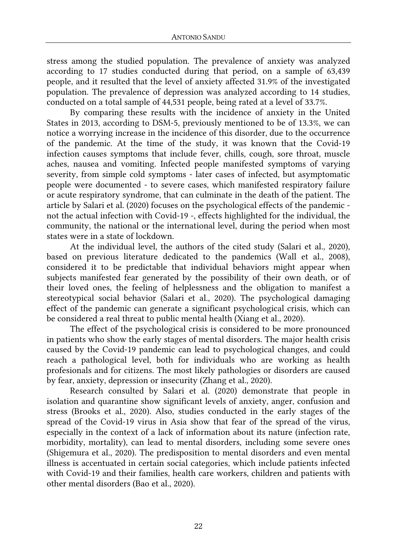stress among the studied population. The prevalence of anxiety was analyzed according to 17 studies conducted during that period, on a sample of 63,439 people, and it resulted that the level of anxiety affected 31.9% of the investigated population. The prevalence of depression was analyzed according to 14 studies, conducted on a total sample of 44,531 people, being rated at a level of 33.7%.

By comparing these results with the incidence of anxiety in the United States in 2013, according to DSM-5, previously mentioned to be of 13.3%, we can notice a worrying increase in the incidence of this disorder, due to the occurrence of the pandemic. At the time of the study, it was known that the Covid-19 infection causes symptoms that include fever, chills, cough, sore throat, muscle aches, nausea and vomiting. Infected people manifested symptoms of varying severity, from simple cold symptoms - later cases of infected, but asymptomatic people were documented - to severe cases, which manifested respiratory failure or acute respiratory syndrome, that can culminate in the death of the patient. The article by Salari et al. (2020) focuses on the psychological effects of the pandemic not the actual infection with Covid-19 -, effects highlighted for the individual, the community, the national or the international level, during the period when most states were in a state of lockdown.

At the individual level, the authors of the cited study (Salari et al., 2020), based on previous literature dedicated to the pandemics (Wall et al., 2008), considered it to be predictable that individual behaviors might appear when subjects manifested fear generated by the possibility of their own death, or of their loved ones, the feeling of helplessness and the obligation to manifest a stereotypical social behavior (Salari et al., 2020). The psychological damaging effect of the pandemic can generate a significant psychological crisis, which can be considered a real threat to public mental health (Xiang et al., 2020).

The effect of the psychological crisis is considered to be more pronounced in patients who show the early stages of mental disorders. The major health crisis caused by the Covid-19 pandemic can lead to psychological changes, and could reach a pathological level, both for individuals who are working as health profesionals and for citizens. The most likely pathologies or disorders are caused by fear, anxiety, depression or insecurity (Zhang et al., 2020).

Research consulted by Salari et al. (2020) demonstrate that people in isolation and quarantine show significant levels of anxiety, anger, confusion and stress (Brooks et al., 2020). Also, studies conducted in the early stages of the spread of the Covid-19 virus in Asia show that fear of the spread of the virus, especially in the context of a lack of information about its nature (infection rate, morbidity, mortality), can lead to mental disorders, including some severe ones (Shigemura et al., 2020). The predisposition to mental disorders and even mental illness is accentuated in certain social categories, which include patients infected with Covid-19 and their families, health care workers, children and patients with other mental disorders (Bao et al., 2020).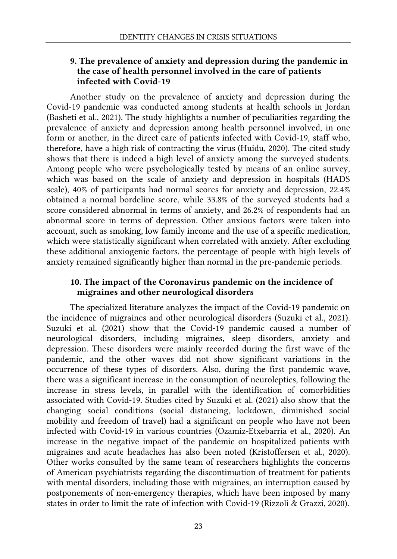## **9. The prevalence of anxiety and depression during the pandemic in the case of health personnel involved in the care of patients infected with Covid-19**

Another study on the prevalence of anxiety and depression during the Covid-19 pandemic was conducted among students at health schools in Jordan (Basheti et al., 2021). The study highlights a number of peculiarities regarding the prevalence of anxiety and depression among health personnel involved, in one form or another, in the direct care of patients infected with Covid-19, staff who, therefore, have a high risk of contracting the virus (Huidu, 2020). The cited study shows that there is indeed a high level of anxiety among the surveyed students. Among people who were psychologically tested by means of an online survey, which was based on the scale of anxiety and depression in hospitals (HADS scale), 40% of participants had normal scores for anxiety and depression, 22.4% obtained a normal bordeline score, while 33.8% of the surveyed students had a score considered abnormal in terms of anxiety, and 26.2% of respondents had an abnormal score in terms of depression. Other anxious factors were taken into account, such as smoking, low family income and the use of a specific medication, which were statistically significant when correlated with anxiety. After excluding these additional anxiogenic factors, the percentage of people with high levels of anxiety remained significantly higher than normal in the pre-pandemic periods.

### **10. The impact of the Coronavirus pandemic on the incidence of migraines and other neurological disorders**

The specialized literature analyzes the impact of the Covid-19 pandemic on the incidence of migraines and other neurological disorders (Suzuki et al., 2021). Suzuki et al. (2021) show that the Covid-19 pandemic caused a number of neurological disorders, including migraines, sleep disorders, anxiety and depression. These disorders were mainly recorded during the first wave of the pandemic, and the other waves did not show significant variations in the occurrence of these types of disorders. Also, during the first pandemic wave, there was a significant increase in the consumption of neuroleptics, following the increase in stress levels, in parallel with the identification of comorbidities associated with Covid-19. Studies cited by Suzuki et al. (2021) also show that the changing social conditions (social distancing, lockdown, diminished social mobility and freedom of travel) had a significant on people who have not been infected with Covid-19 in various countries (Ozamiz-Etxebarria et al., 2020). An increase in the negative impact of the pandemic on hospitalized patients with migraines and acute headaches has also been noted (Kristoffersen et al., 2020). Other works consulted by the same team of researchers highlights the concerns of American psychiatrists regarding the discontinuation of treatment for patients with mental disorders, including those with migraines, an interruption caused by postponements of non-emergency therapies, which have been imposed by many states in order to limit the rate of infection with Covid-19 (Rizzoli & Grazzi, 2020).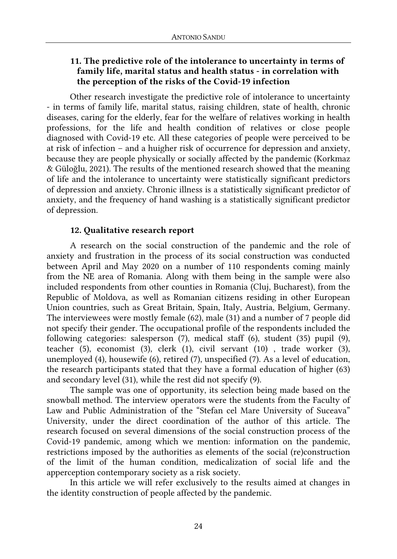## **11. The predictive role of the intolerance to uncertainty in terms of family life, marital status and health status - in correlation with the perception of the risks of the Covid-19 infection**

Other research investigate the predictive role of intolerance to uncertainty - in terms of family life, marital status, raising children, state of health, chronic diseases, caring for the elderly, fear for the welfare of relatives working in health professions, for the life and health condition of relatives or close people diagnosed with Covid-19 etc. All these categories of people were perceived to be at risk of infection – and a huigher risk of occurrence for depression and anxiety, because they are people physically or socially affected by the pandemic (Korkmaz & Güloğlu, 2021). The results of the mentioned research showed that the meaning of life and the intolerance to uncertainty were statistically significant predictors of depression and anxiety. Chronic illness is a statistically significant predictor of anxiety, and the frequency of hand washing is a statistically significant predictor of depression.

### **12. Qualitative research report**

A research on the social construction of the pandemic and the role of anxiety and frustration in the process of its social construction was conducted between April and May 2020 on a number of 110 respondents coming mainly from the NE area of Romania. Along with them being in the sample were also included respondents from other counties in Romania (Cluj, Bucharest), from the Republic of Moldova, as well as Romanian citizens residing in other European Union countries, such as Great Britain, Spain, Italy, Austria, Belgium, Germany. The interviewees were mostly female (62), male (31) and a number of 7 people did not specify their gender. The occupational profile of the respondents included the following categories: salesperson (7), medical staff (6), student (35) pupil (9), teacher (5), economist (3), clerk (1), civil servant (10) , trade worker (3), unemployed (4), housewife (6), retired (7), unspecified (7). As a level of education, the research participants stated that they have a formal education of higher (63) and secondary level (31), while the rest did not specify (9).

The sample was one of opportunity, its selection being made based on the snowball method. The interview operators were the students from the Faculty of Law and Public Administration of the "Stefan cel Mare University of Suceava" University, under the direct coordination of the author of this article. The research focused on several dimensions of the social construction process of the Covid-19 pandemic, among which we mention: information on the pandemic, restrictions imposed by the authorities as elements of the social (re)construction of the limit of the human condition, medicalization of social life and the apperception contemporary society as a risk society.

In this article we will refer exclusively to the results aimed at changes in the identity construction of people affected by the pandemic.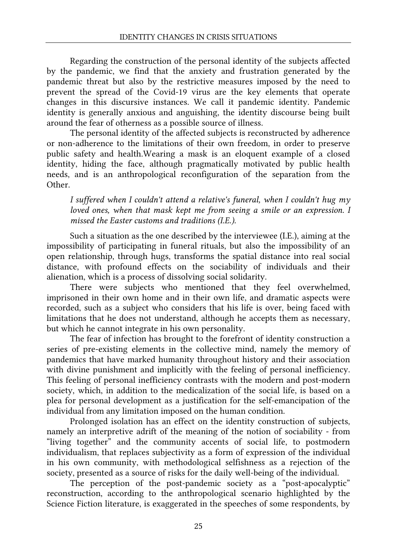Regarding the construction of the personal identity of the subjects affected by the pandemic, we find that the anxiety and frustration generated by the pandemic threat but also by the restrictive measures imposed by the need to prevent the spread of the Covid-19 virus are the key elements that operate changes in this discursive instances. We call it pandemic identity. Pandemic identity is generally anxious and anguishing, the identity discourse being built around the fear of otherness as a possible source of illness.

The personal identity of the affected subjects is reconstructed by adherence or non-adherence to the limitations of their own freedom, in order to preserve public safety and health.Wearing a mask is an eloquent example of a closed identity, hiding the face, although pragmatically motivated by public health needs, and is an anthropological reconfiguration of the separation from the Other.

*I suffered when I couldn't attend a relative's funeral, when I couldn't hug my loved ones, when that mask kept me from seeing a smile or an expression. I missed the Easter customs and traditions (I.E.).* 

Such a situation as the one described by the interviewee (I.E.), aiming at the impossibility of participating in funeral rituals, but also the impossibility of an open relationship, through hugs, transforms the spatial distance into real social distance, with profound effects on the sociability of individuals and their alienation, which is a process of dissolving social solidarity.

There were subjects who mentioned that they feel overwhelmed, imprisoned in their own home and in their own life, and dramatic aspects were recorded, such as a subject who considers that his life is over, being faced with limitations that he does not understand, although he accepts them as necessary, but which he cannot integrate in his own personality.

The fear of infection has brought to the forefront of identity construction a series of pre-existing elements in the collective mind, namely the memory of pandemics that have marked humanity throughout history and their association with divine punishment and implicitly with the feeling of personal inefficiency. This feeling of personal inefficiency contrasts with the modern and post-modern society, which, in addition to the medicalization of the social life, is based on a plea for personal development as a justification for the self-emancipation of the individual from any limitation imposed on the human condition.

Prolonged isolation has an effect on the identity construction of subjects, namely an interpretive adrift of the meaning of the notion of sociability - from "living together" and the community accents of social life, to postmodern individualism, that replaces subjectivity as a form of expression of the individual in his own community, with methodological selfishness as a rejection of the society, presented as a source of risks for the daily well-being of the individual.

The perception of the post-pandemic society as a "post-apocalyptic" reconstruction, according to the anthropological scenario highlighted by the Science Fiction literature, is exaggerated in the speeches of some respondents, by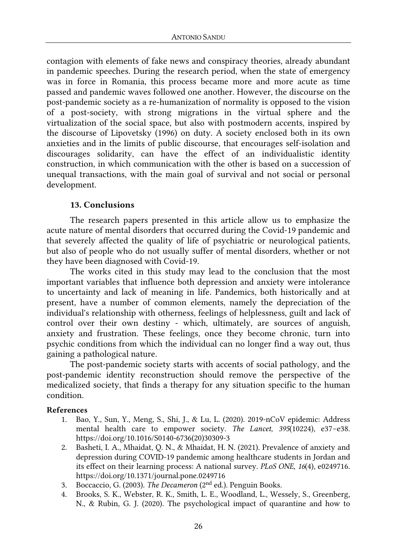contagion with elements of fake news and conspiracy theories, already abundant in pandemic speeches. During the research period, when the state of emergency was in force in Romania, this process became more and more acute as time passed and pandemic waves followed one another. However, the discourse on the post-pandemic society as a re-humanization of normality is opposed to the vision of a post-society, with strong migrations in the virtual sphere and the virtualization of the social space, but also with postmodern accents, inspired by the discourse of Lipovetsky (1996) on duty. A society enclosed both in its own anxieties and in the limits of public discourse, that encourages self-isolation and discourages solidarity, can have the effect of an individualistic identity construction, in which communication with the other is based on a succession of unequal transactions, with the main goal of survival and not social or personal development.

#### **13. Conclusions**

The research papers presented in this article allow us to emphasize the acute nature of mental disorders that occurred during the Covid-19 pandemic and that severely affected the quality of life of psychiatric or neurological patients, but also of people who do not usually suffer of mental disorders, whether or not they have been diagnosed with Covid-19.

The works cited in this study may lead to the conclusion that the most important variables that influence both depression and anxiety were intolerance to uncertainty and lack of meaning in life. Pandemics, both historically and at present, have a number of common elements, namely the depreciation of the individual's relationship with otherness, feelings of helplessness, guilt and lack of control over their own destiny - which, ultimately, are sources of anguish, anxiety and frustration. These feelings, once they become chronic, turn into psychic conditions from which the individual can no longer find a way out, thus gaining a pathological nature.

The post-pandemic society starts with accents of social pathology, and the post-pandemic identity reconstruction should remove the perspective of the medicalized society, that finds a therapy for any situation specific to the human condition.

#### **References**

- 1. Bao, Y., Sun, Y., Meng, S., Shi, J., & Lu, L. (2020). 2019-nCoV epidemic: Address mental health care to empower society. *The Lancet*, *395*(10224), e37–e38. https://doi.org/10.1016/S0140-6736(20)30309-3
- 2. Basheti, I. A., Mhaidat, Q. N., & Mhaidat, H. N. (2021). Prevalence of anxiety and depression during COVID-19 pandemic among healthcare students in Jordan and its effect on their learning process: A national survey. *PLoS ONE*, *16*(4), e0249716. https://doi.org/10.1371/journal.pone.0249716
- 3. Boccaccio, G. (2003). *The Decameron* (2nd ed.). Penguin Books.
- 4. Brooks, S. K., Webster, R. K., Smith, L. E., Woodland, L., Wessely, S., Greenberg, N., & Rubin, G. J. (2020). The psychological impact of quarantine and how to